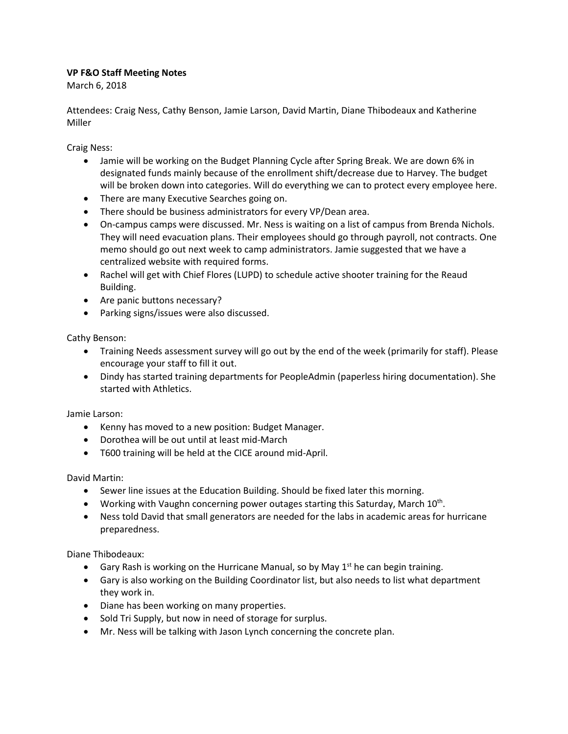## **VP F&O Staff Meeting Notes**

March 6, 2018

Attendees: Craig Ness, Cathy Benson, Jamie Larson, David Martin, Diane Thibodeaux and Katherine Miller

Craig Ness:

- Jamie will be working on the Budget Planning Cycle after Spring Break. We are down 6% in designated funds mainly because of the enrollment shift/decrease due to Harvey. The budget will be broken down into categories. Will do everything we can to protect every employee here.
- There are many Executive Searches going on.
- There should be business administrators for every VP/Dean area.
- On-campus camps were discussed. Mr. Ness is waiting on a list of campus from Brenda Nichols. They will need evacuation plans. Their employees should go through payroll, not contracts. One memo should go out next week to camp administrators. Jamie suggested that we have a centralized website with required forms.
- Rachel will get with Chief Flores (LUPD) to schedule active shooter training for the Reaud Building.
- Are panic buttons necessary?
- Parking signs/issues were also discussed.

Cathy Benson:

- Training Needs assessment survey will go out by the end of the week (primarily for staff). Please encourage your staff to fill it out.
- Dindy has started training departments for PeopleAdmin (paperless hiring documentation). She started with Athletics.

Jamie Larson:

- Kenny has moved to a new position: Budget Manager.
- Dorothea will be out until at least mid-March
- T600 training will be held at the CICE around mid-April.

David Martin:

- Sewer line issues at the Education Building. Should be fixed later this morning.
- Working with Vaughn concerning power outages starting this Saturday, March 10<sup>th</sup>.
- Ness told David that small generators are needed for the labs in academic areas for hurricane preparedness.

Diane Thibodeaux:

- Gary Rash is working on the Hurricane Manual, so by May  $1<sup>st</sup>$  he can begin training.
- Gary is also working on the Building Coordinator list, but also needs to list what department they work in.
- Diane has been working on many properties.
- Sold Tri Supply, but now in need of storage for surplus.
- Mr. Ness will be talking with Jason Lynch concerning the concrete plan.